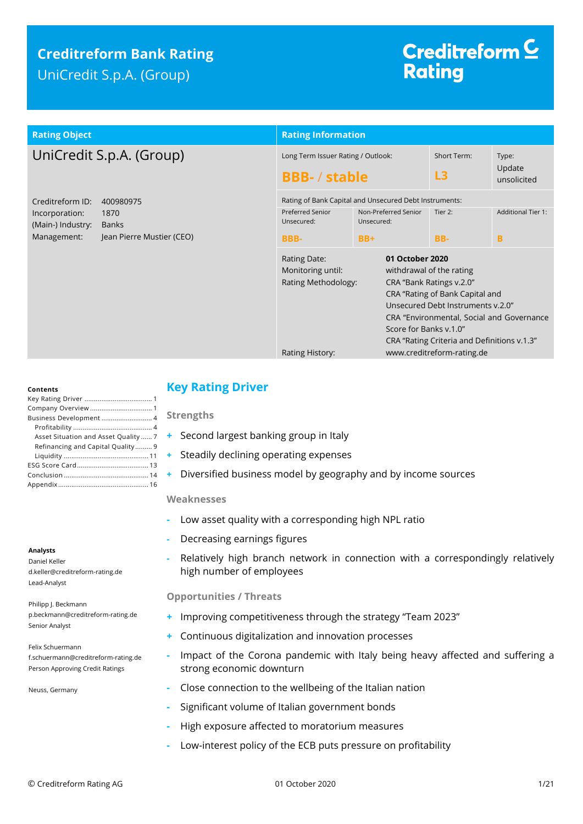# **Creditreform Bank Rating** UniCredit S.p.A. (Group)

# Creditreform<sup>C</sup> **Rating**

## **Rating Object Rating Information**

# UniCredit S.p.A. (Group)

| Creditreform ID:  | 400980975                 |
|-------------------|---------------------------|
| Incorporation:    | 1870                      |
| (Main-) Industry: | <b>Banks</b>              |
| Management:       | Jean Pierre Mustier (CEO) |

|                                                                                                                                                                                                                                                                                                                                   | <b>Rating Information</b>                                  |                                                        |                            |                                |  |  |
|-----------------------------------------------------------------------------------------------------------------------------------------------------------------------------------------------------------------------------------------------------------------------------------------------------------------------------------|------------------------------------------------------------|--------------------------------------------------------|----------------------------|--------------------------------|--|--|
|                                                                                                                                                                                                                                                                                                                                   | Long Term Issuer Rating / Outlook:<br><b>BBB-</b> / stable |                                                        | Short Term:<br>L3          | Type:<br>Update<br>unsolicited |  |  |
|                                                                                                                                                                                                                                                                                                                                   |                                                            | Rating of Bank Capital and Unsecured Debt Instruments: |                            |                                |  |  |
|                                                                                                                                                                                                                                                                                                                                   | <b>Preferred Senior</b><br>Unsecured:                      | Non-Preferred Senior<br>Unsecured:                     | Tier 2:                    | <b>Additional Tier 1:</b>      |  |  |
|                                                                                                                                                                                                                                                                                                                                   | <b>BBB-</b>                                                | $BB+$                                                  | BB-                        | в                              |  |  |
| 01 October 2020<br>Rating Date:<br>Monitoring until:<br>withdrawal of the rating<br>CRA "Bank Ratings v.2.0"<br>Rating Methodology:<br>CRA "Rating of Bank Capital and<br>Unsecured Debt Instruments v.2.0"<br>CRA "Environmental, Social and Governance<br>Score for Banks v.1.0"<br>CRA "Rating Criteria and Definitions v.1.3" |                                                            |                                                        |                            |                                |  |  |
|                                                                                                                                                                                                                                                                                                                                   | Rating History:                                            |                                                        | www.creditreform-rating.de |                                |  |  |

#### **Contents**

| Business Development 4               |
|--------------------------------------|
|                                      |
| Asset Situation and Asset Quality  7 |
| Refinancing and Capital Quality 9    |
|                                      |
|                                      |
|                                      |
|                                      |

### **Analysts**

Daniel Keller d.keller@creditreform-rating.de Lead-Analyst

Philipp J. Beckmann p.beckmann@creditreform-rating.de Senior Analyst

Felix Schuermann f.schuermann@creditreform-rating.de Person Approving Credit Ratings

Neuss, Germany

## <span id="page-0-0"></span>**Key Rating Driver**

**Strengths**

- **+** Second largest banking group in Italy
- **+** Steadily declining operating expenses
- **+** Diversified business model by geography and by income sources

## **Weaknesses**

- **-** Low asset quality with a corresponding high NPL ratio
- **-** Decreasing earnings figures
- **-** Relatively high branch network in connection with a correspondingly relatively high number of employees

## **Opportunities / Threats**

- <span id="page-0-1"></span>**+** Improving competitiveness through the strategy "Team 2023"
- **+** Continuous digitalization and innovation processes
- **-** Impact of the Corona pandemic with Italy being heavy affected and suffering a strong economic downturn
- **-** Close connection to the wellbeing of the Italian nation
- **-** Significant volume of Italian government bonds
	- **-** High exposure affected to moratorium measures
- **-** Low-interest policy of the ECB puts pressure on profitability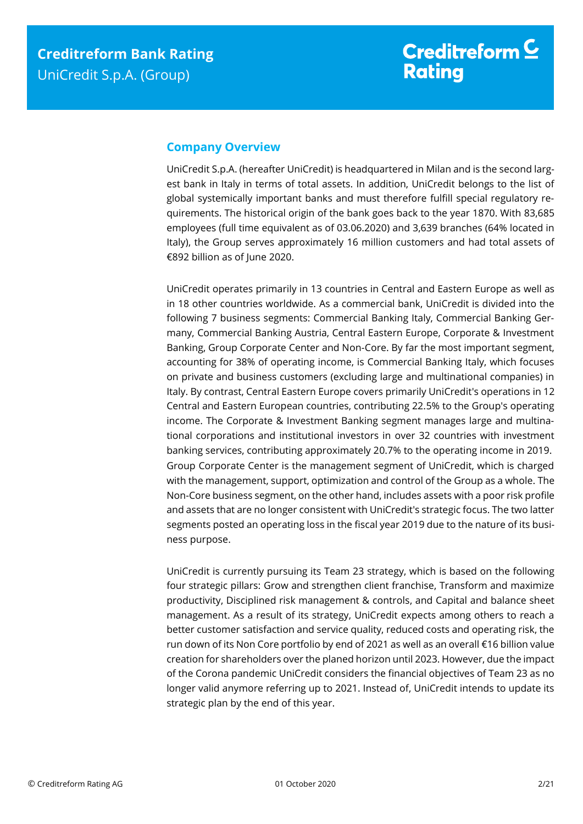## **Company Overview**

UniCredit S.p.A. (hereafter UniCredit) is headquartered in Milan and is the second largest bank in Italy in terms of total assets. In addition, UniCredit belongs to the list of global systemically important banks and must therefore fulfill special regulatory requirements. The historical origin of the bank goes back to the year 1870. With 83,685 employees (full time equivalent as of 03.06.2020) and 3,639 branches (64% located in Italy), the Group serves approximately 16 million customers and had total assets of €892 billion as of June 2020.

UniCredit operates primarily in 13 countries in Central and Eastern Europe as well as in 18 other countries worldwide. As a commercial bank, UniCredit is divided into the following 7 business segments: Commercial Banking Italy, Commercial Banking Germany, Commercial Banking Austria, Central Eastern Europe, Corporate & Investment Banking, Group Corporate Center and Non-Core. By far the most important segment, accounting for 38% of operating income, is Commercial Banking Italy, which focuses on private and business customers (excluding large and multinational companies) in Italy. By contrast, Central Eastern Europe covers primarily UniCredit's operations in 12 Central and Eastern European countries, contributing 22.5% to the Group's operating income. The Corporate & Investment Banking segment manages large and multinational corporations and institutional investors in over 32 countries with investment banking services, contributing approximately 20.7% to the operating income in 2019. Group Corporate Center is the management segment of UniCredit, which is charged with the management, support, optimization and control of the Group as a whole. The Non-Core business segment, on the other hand, includes assets with a poor risk profile and assets that are no longer consistent with UniCredit's strategic focus. The two latter segments posted an operating loss in the fiscal year 2019 due to the nature of its business purpose.

UniCredit is currently pursuing its Team 23 strategy, which is based on the following four strategic pillars: Grow and strengthen client franchise, Transform and maximize productivity, Disciplined risk management & controls, and Capital and balance sheet management. As a result of its strategy, UniCredit expects among others to reach a better customer satisfaction and service quality, reduced costs and operating risk, the run down of its Non Core portfolio by end of 2021 as well as an overall €16 billion value creation for shareholders over the planed horizon until 2023. However, due the impact of the Corona pandemic UniCredit considers the financial objectives of Team 23 as no longer valid anymore referring up to 2021. Instead of, UniCredit intends to update its strategic plan by the end of this year.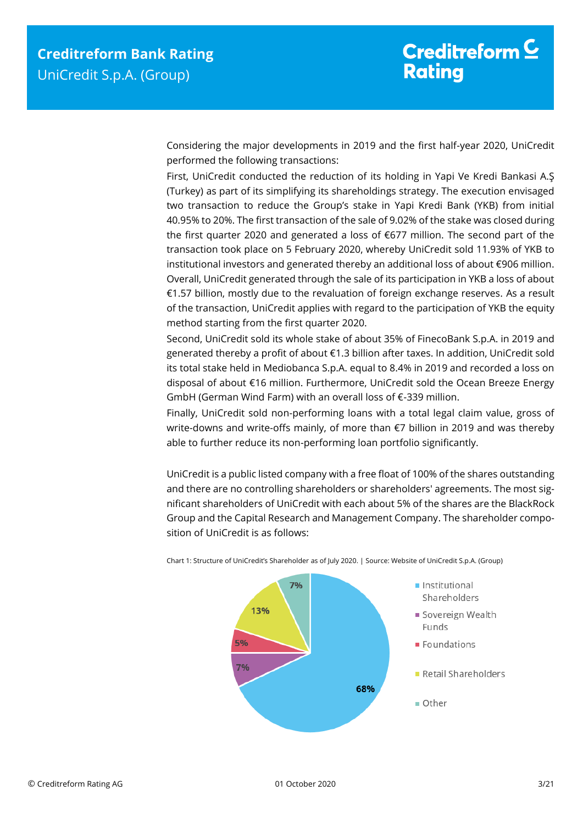Considering the major developments in 2019 and the first half-year 2020, UniCredit performed the following transactions:

First, UniCredit conducted the reduction of its holding in Yapi Ve Kredi Bankasi A.Ş (Turkey) as part of its simplifying its shareholdings strategy. The execution envisaged two transaction to reduce the Group's stake in Yapi Kredi Bank (YKB) from initial 40.95% to 20%. The first transaction of the sale of 9.02% of the stake was closed during the first quarter 2020 and generated a loss of €677 million. The second part of the transaction took place on 5 February 2020, whereby UniCredit sold 11.93% of YKB to institutional investors and generated thereby an additional loss of about €906 million. Overall, UniCredit generated through the sale of its participation in YKB a loss of about €1.57 billion, mostly due to the revaluation of foreign exchange reserves. As a result of the transaction, UniCredit applies with regard to the participation of YKB the equity method starting from the first quarter 2020.

Second, UniCredit sold its whole stake of about 35% of FinecoBank S.p.A. in 2019 and generated thereby a profit of about €1.3 billion after taxes. In addition, UniCredit sold its total stake held in Mediobanca S.p.A. equal to 8.4% in 2019 and recorded a loss on disposal of about €16 million. Furthermore, UniCredit sold the Ocean Breeze Energy GmbH (German Wind Farm) with an overall loss of €-339 million.

Finally, UniCredit sold non-performing loans with a total legal claim value, gross of write-downs and write-offs mainly, of more than €7 billion in 2019 and was thereby able to further reduce its non-performing loan portfolio significantly.

UniCredit is a public listed company with a free float of 100% of the shares outstanding and there are no controlling shareholders or shareholders' agreements. The most significant shareholders of UniCredit with each about 5% of the shares are the BlackRock Group and the Capital Research and Management Company. The shareholder composition of UniCredit is as follows:



Chart 1: Structure of UniCredit's Shareholder as of July 2020. | Source: Website of UniCredit S.p.A. (Group)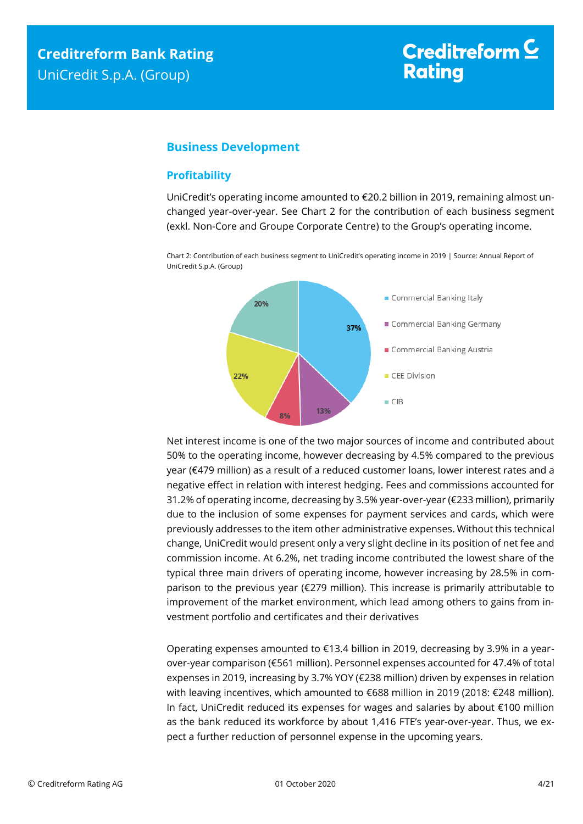# Creditreform  $\subseteq$ **Rating**

## <span id="page-3-0"></span>**Business Development**

## <span id="page-3-1"></span>**Profitability**

UniCredit's operating income amounted to €20.2 billion in 2019, remaining almost unchanged year-over-year. See Chart 2 for the contribution of each business segment (exkl. Non-Core and Groupe Corporate Centre) to the Group's operating income.

Chart 2: Contribution of each business segment to UniCredit's operating income in 2019 | Source: Annual Report of UniCredit S.p.A. (Group)



Net interest income is one of the two major sources of income and contributed about 50% to the operating income, however decreasing by 4.5% compared to the previous year (€479 million) as a result of a reduced customer loans, lower interest rates and a negative effect in relation with interest hedging. Fees and commissions accounted for 31.2% of operating income, decreasing by 3.5% year-over-year (€233 million), primarily due to the inclusion of some expenses for payment services and cards, which were previously addresses to the item other administrative expenses. Without this technical change, UniCredit would present only a very slight decline in its position of net fee and commission income. At 6.2%, net trading income contributed the lowest share of the typical three main drivers of operating income, however increasing by 28.5% in comparison to the previous year (€279 million). This increase is primarily attributable to improvement of the market environment, which lead among others to gains from investment portfolio and certificates and their derivatives

Operating expenses amounted to  $E$ 13.4 billion in 2019, decreasing by 3.9% in a yearover-year comparison (€561 million). Personnel expenses accounted for 47.4% of total expenses in 2019, increasing by 3.7% YOY (€238 million) driven by expenses in relation with leaving incentives, which amounted to €688 million in 2019 (2018: €248 million). In fact, UniCredit reduced its expenses for wages and salaries by about €100 million as the bank reduced its workforce by about 1,416 FTE's year-over-year. Thus, we expect a further reduction of personnel expense in the upcoming years.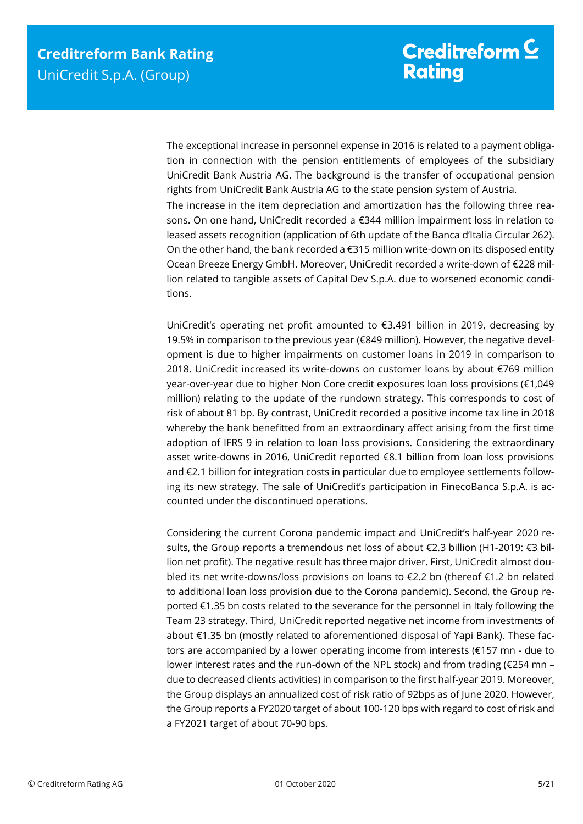The exceptional increase in personnel expense in 2016 is related to a payment obligation in connection with the pension entitlements of employees of the subsidiary UniCredit Bank Austria AG. The background is the transfer of occupational pension rights from UniCredit Bank Austria AG to the state pension system of Austria. The increase in the item depreciation and amortization has the following three reasons. On one hand, UniCredit recorded a €344 million impairment loss in relation to leased assets recognition (application of 6th update of the Banca d'Italia Circular 262). On the other hand, the bank recorded a  $\epsilon$ 315 million write-down on its disposed entity Ocean Breeze Energy GmbH. Moreover, UniCredit recorded a write-down of €228 million related to tangible assets of Capital Dev S.p.A. due to worsened economic conditions.

UniCredit's operating net profit amounted to €3.491 billion in 2019, decreasing by 19.5% in comparison to the previous year ( $\epsilon$ 849 million). However, the negative development is due to higher impairments on customer loans in 2019 in comparison to 2018. UniCredit increased its write-downs on customer loans by about €769 million year-over-year due to higher Non Core credit exposures loan loss provisions (€1,049 million) relating to the update of the rundown strategy. This corresponds to cost of risk of about 81 bp. By contrast, UniCredit recorded a positive income tax line in 2018 whereby the bank benefitted from an extraordinary affect arising from the first time adoption of IFRS 9 in relation to loan loss provisions. Considering the extraordinary asset write-downs in 2016, UniCredit reported €8.1 billion from loan loss provisions and €2.1 billion for integration costs in particular due to employee settlements following its new strategy. The sale of UniCredit's participation in FinecoBanca S.p.A. is accounted under the discontinued operations.

Considering the current Corona pandemic impact and UniCredit's half-year 2020 results, the Group reports a tremendous net loss of about €2.3 billion (H1-2019: €3 billion net profit). The negative result has three major driver. First, UniCredit almost doubled its net write-downs/loss provisions on loans to €2.2 bn (thereof €1.2 bn related to additional loan loss provision due to the Corona pandemic). Second, the Group reported €1.35 bn costs related to the severance for the personnel in Italy following the Team 23 strategy. Third, UniCredit reported negative net income from investments of about €1.35 bn (mostly related to aforementioned disposal of Yapi Bank). These factors are accompanied by a lower operating income from interests (€157 mn - due to lower interest rates and the run-down of the NPL stock) and from trading (€254 mn – due to decreased clients activities) in comparison to the first half-year 2019. Moreover, the Group displays an annualized cost of risk ratio of 92bps as of June 2020. However, the Group reports a FY2020 target of about 100-120 bps with regard to cost of risk and a FY2021 target of about 70-90 bps.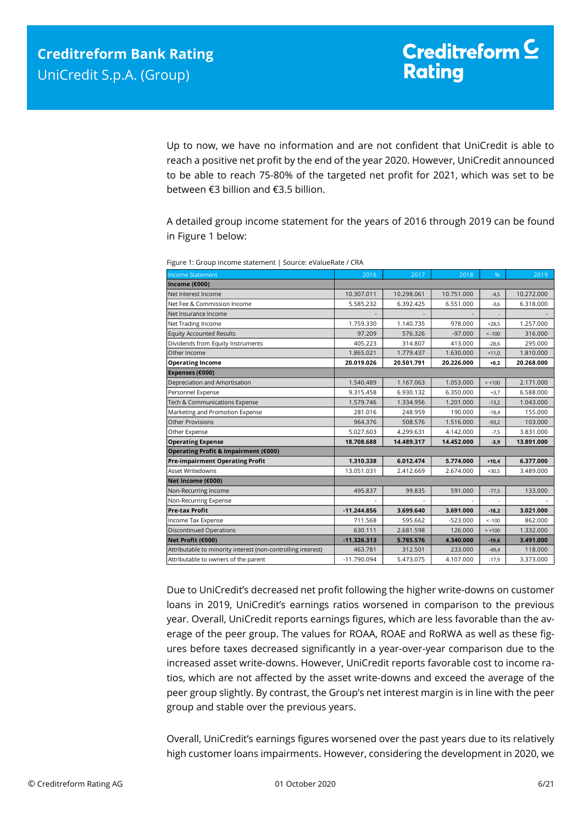Up to now, we have no information and are not confident that UniCredit is able to reach a positive net profit by the end of the year 2020. However, UniCredit announced to be able to reach 75-80% of the targeted net profit for 2021, which was set to be between €3 billion and €3.5 billion.

A detailed group income statement for the years of 2016 through 2019 can be found in Figure 1 below:

| <b>Income Statement</b>                                                                                                                                                       | 2016               | 2017                 | 2018                  | %                    | 2019                 |
|-------------------------------------------------------------------------------------------------------------------------------------------------------------------------------|--------------------|----------------------|-----------------------|----------------------|----------------------|
| Income ( $\epsilon$ 000)                                                                                                                                                      |                    |                      |                       |                      |                      |
| Net Interest Income                                                                                                                                                           | 10.307.011         | 10.298.061           | 10.751.000            | $-4,5$               | 10.272.000           |
| Net Fee & Commission Income                                                                                                                                                   | 5.585.232          | 6.392.425            | 6.551.000             | $-3,6$               | 6.318.000            |
| Net Insurance Income                                                                                                                                                          |                    |                      |                       | ÷,                   |                      |
| Net Trading Income                                                                                                                                                            | 1.759.330          | 1.140.735            | 978.000               | $+28,5$              | 1.257.000            |
| <b>Equity Accounted Results</b>                                                                                                                                               | 97.209             | 576.326              | $-97.000$             | $\le -100$           | 316.000              |
| Dividends from Equity Instruments                                                                                                                                             | 405.223            | 314.807              | 413.000               | $-28,6$              | 295.000              |
| Other Income                                                                                                                                                                  | 1.865.021          | 1.779.437            | 1.630.000             | $+11,0$              | 1.810.000            |
| <b>Operating Income</b>                                                                                                                                                       | 20.019.026         | 20.501.791           | 20.226.000            | $+0,2$               | 20.268.000           |
| Expenses (€000)                                                                                                                                                               |                    |                      |                       |                      |                      |
| Depreciation and Amortisation                                                                                                                                                 | 1.540.489          | 1.167.063            | 1.053.000             | $> +100$             | 2.171.000            |
| Personnel Expense                                                                                                                                                             | 9.315.458          | 6.930.132            | 6.350.000             | $+3,7$               | 6.588.000            |
| Tech & Communications Expense                                                                                                                                                 | 1.579.746          | 1.334.956            | 1.201.000             | $-13,2$              | 1.043.000            |
| Marketing and Promotion Expense                                                                                                                                               | 281.016            | 248.959              | 190.000               | $-18,4$              | 155.000              |
| <b>Other Provisions</b>                                                                                                                                                       | 964.376            | 508.576              | 1.516.000             | $-93,2$              | 103.000              |
| Other Expense                                                                                                                                                                 | 5.027.603          | 4.299.631            | 4.142.000             | $-7,5$               | 3.831.000            |
| <b>Operating Expense</b>                                                                                                                                                      | 18.708.688         | 14.489.317           | 14.452.000            | $-3,9$               | 13.891.000           |
| Operating Profit & Impairment (€000)                                                                                                                                          |                    |                      |                       |                      |                      |
| <b>Pre-impairment Operating Profit</b>                                                                                                                                        | 1.310.338          | 6.012.474            | 5.774.000             | $+10,4$              | 6.377.000            |
| Asset Writedowns                                                                                                                                                              | 13.051.031         | 2.412.669            | 2.674.000             | $+30,5$              | 3.489.000            |
| Net Income (€000)                                                                                                                                                             |                    |                      |                       |                      |                      |
| Non-Recurring Income                                                                                                                                                          | 495.837            | 99.835               | 591.000               | $-77,5$              | 133.000              |
| Non-Recurring Expense                                                                                                                                                         |                    |                      |                       |                      |                      |
| <b>Pre-tax Profit</b>                                                                                                                                                         | $-11.244.856$      | 3.699.640            | 3.691.000             | $-18,2$              | 3.021.000            |
| Income Tax Expense<br><b>Discontinued Operations</b>                                                                                                                          | 711.568<br>630.111 | 595.662<br>2.681.598 | $-523.000$<br>126.000 | $< -100$<br>$> +100$ | 862.000<br>1.332.000 |
| Net Profit (€000)                                                                                                                                                             | $-11.326.313$      | 5.785.576            | 4.340.000             | $-19,6$              | 3.491.000            |
| Attributable to minority interest (non-controlling interest)                                                                                                                  | 463.781            | 312.501              | 233.000               | $-49,4$              | 118.000              |
| Attributable to owners of the parent                                                                                                                                          | -11.790.094        | 5.473.075            | 4.107.000             | $-17,9$              | 3.373.000            |
| Due to UniCredit's decreased net profit following the higher write-downs on customer                                                                                          |                    |                      |                       |                      |                      |
| loans in 2019, UniCredit's earnings ratios worsened in comparison to the previous                                                                                             |                    |                      |                       |                      |                      |
| year. Overall, UniCredit reports earnings figures, which are less favorable than the av-                                                                                      |                    |                      |                       |                      |                      |
| erage of the peer group. The values for ROAA, ROAE and RoRWA as well as these fig-                                                                                            |                    |                      |                       |                      |                      |
| ures before taxes decreased significantly in a year-over-year comparison due to the                                                                                           |                    |                      |                       |                      |                      |
| increased asset write-downs. However, UniCredit reports favorable cost to income ra-                                                                                          |                    |                      |                       |                      |                      |
| tios, which are not affected by the asset write-downs and exceed the average of the                                                                                           |                    |                      |                       |                      |                      |
|                                                                                                                                                                               |                    |                      |                       |                      |                      |
| peer group slightly. By contrast, the Group's net interest margin is in line with the peer<br>group and stable over the previous years.                                       |                    |                      |                       |                      |                      |
|                                                                                                                                                                               |                    |                      |                       |                      |                      |
| Overall, UniCredit's earnings figures worsened over the past years due to its relatively<br>high customer loans impairments. However, considering the development in 2020, we |                    |                      |                       |                      |                      |
|                                                                                                                                                                               |                    |                      |                       |                      |                      |

Figure 1: Group income statement | Source: eValueRate / CRA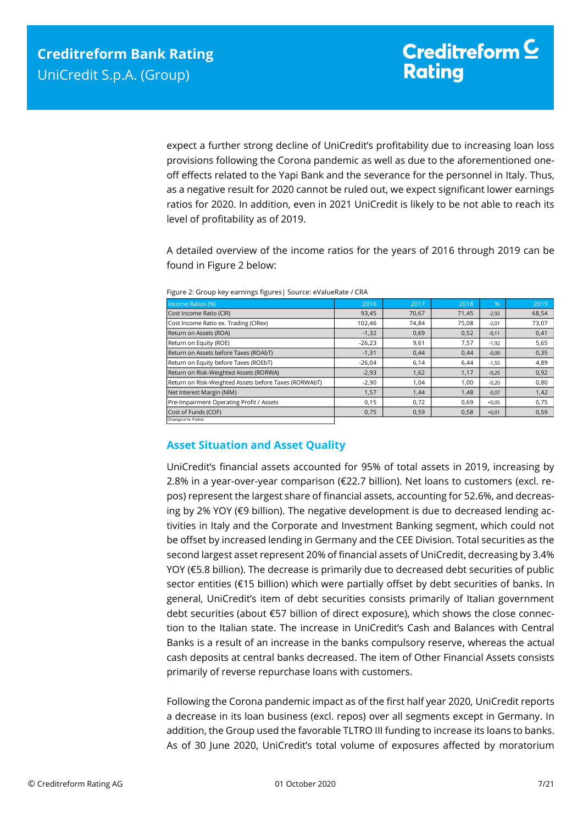expect a further strong decline of UniCredit's profitability due to increasing loan loss provisions following the Corona pandemic as well as due to the aforementioned oneoff effects related to the Yapi Bank and the severance for the personnel in Italy. Thus, as a negative result for 2020 cannot be ruled out, we expect significant lower earnings ratios for 2020. In addition, even in 2021 UniCredit is likely to be not able to reach its level of profitability as of 2019.

A detailed overview of the income ratios for the years of 2016 through 2019 can be found in Figure 2 below:

| Income Ratios (%)                                     | 2016     | 2017  | 2018  | .96     | 2019  |
|-------------------------------------------------------|----------|-------|-------|---------|-------|
| Cost Income Ratio (CIR)                               | 93,45    | 70.67 | 71,45 | $-2,92$ | 68,54 |
| Cost Income Ratio ex. Trading (CIRex)                 | 102.46   | 74.84 | 75,08 | $-2,01$ | 73,07 |
| Return on Assets (ROA)                                | $-1,32$  | 0,69  | 0,52  | $-0,11$ | 0,41  |
| Return on Equity (ROE)                                | $-26,23$ | 9,61  | 7,57  | $-1,92$ | 5,65  |
| Return on Assets before Taxes (ROAbT)                 | $-1,31$  | 0.44  | 0,44  | $-0,09$ | 0,35  |
| Return on Equity before Taxes (ROEbT)                 | $-26,04$ | 6,14  | 6.44  | $-1,55$ | 4,89  |
| Return on Risk-Weighted Assets (RORWA)                | $-2,93$  | 1,62  | 1,17  | $-0,25$ | 0,92  |
| Return on Risk-Weighted Assets before Taxes (RORWAbT) | $-2,90$  | 1.04  | 1.00  | $-0,20$ | 0,80  |
| Net Interest Margin (NIM)                             | 1,57     | 1,44  | 1,48  | $-0,07$ | 1,42  |
| Pre-Impairment Operating Profit / Assets              | 0,15     | 0.72  | 0.69  | $+0,05$ | 0,75  |
| Cost of Funds (COF)                                   | 0,75     | 0,59  | 0,58  | $+0,01$ | 0,59  |
| Change in %- Points                                   |          |       |       |         |       |

Figure 2: Group key earnings figures| Source: eValueRate / CRA

# <span id="page-6-0"></span>**Asset Situation and Asset Quality**

UniCredit's financial assets accounted for 95% of total assets in 2019, increasing by 2.8% in a year-over-year comparison (€22.7 billion). Net loans to customers (excl. repos) represent the largest share of financial assets, accounting for 52.6%, and decreasing by 2% YOY (€9 billion). The negative development is due to decreased lending activities in Italy and the Corporate and Investment Banking segment, which could not be offset by increased lending in Germany and the CEE Division. Total securities as the second largest asset represent 20% of financial assets of UniCredit, decreasing by 3.4% YOY (€5.8 billion). The decrease is primarily due to decreased debt securities of public sector entities (€15 billion) which were partially offset by debt securities of banks. In general, UniCredit's item of debt securities consists primarily of Italian government debt securities (about €57 billion of direct exposure), which shows the close connection to the Italian state. The increase in UniCredit's Cash and Balances with Central Banks is a result of an increase in the banks compulsory reserve, whereas the actual cash deposits at central banks decreased. The item of Other Financial Assets consists primarily of reverse repurchase loans with customers.

Following the Corona pandemic impact as of the first half year 2020, UniCredit reports a decrease in its loan business (excl. repos) over all segments except in Germany. In addition, the Group used the favorable TLTRO III funding to increase its loans to banks. As of 30 June 2020, UniCredit's total volume of exposures affected by moratorium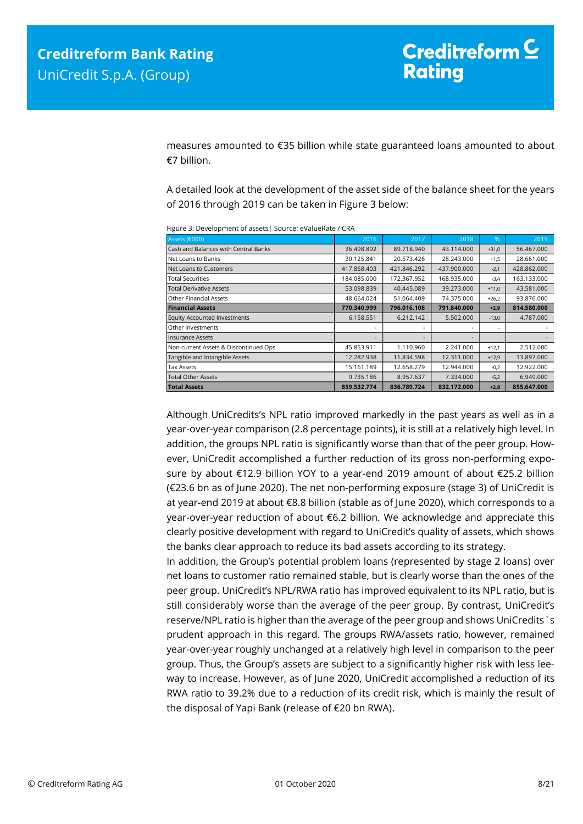measures amounted to €35 billion while state guaranteed loans amounted to about €7 billion.

A detailed look at the development of the asset side of the balance sheet for the years of 2016 through 2019 can be taken in Figure 3 below:

|                                       | $20.500$ . Beterophile in a spectral boarder et alachace $\ell$ |             |             |         |             |  |  |
|---------------------------------------|-----------------------------------------------------------------|-------------|-------------|---------|-------------|--|--|
| Assets (€000)                         | 2016                                                            | 2017        | 2018        | $\%$    | 2019        |  |  |
| Cash and Balances with Central Banks  | 36.498.892                                                      | 89.718.940  | 43.114.000  | $+31,0$ | 56.467.000  |  |  |
| Net Loans to Banks                    | 30.125.841                                                      | 20.573.426  | 28.243.000  | $+1,5$  | 28.661.000  |  |  |
| Net Loans to Customers                | 417.868.403                                                     | 421.846.292 | 437.900.000 | $-2,1$  | 428.862.000 |  |  |
| <b>Total Securities</b>               | 184.085.000                                                     | 172.367.952 | 168.935.000 | $-3,4$  | 163.133.000 |  |  |
| <b>Total Derivative Assets</b>        | 53.098.839                                                      | 40.445.089  | 39.273.000  | $+11,0$ | 43.581.000  |  |  |
| Other Financial Assets                | 48.664.024                                                      | 51.064.409  | 74.375.000  | $+26,2$ | 93.876.000  |  |  |
| <b>Financial Assets</b>               | 770.340.999                                                     | 796.016.108 | 791.840.000 | $+2,9$  | 814.580.000 |  |  |
| <b>Equity Accounted Investments</b>   | 6.158.551                                                       | 6.212.142   | 5.502.000   | $-13,0$ | 4.787.000   |  |  |
| Other Investments                     |                                                                 |             |             | ٠       |             |  |  |
| <b>Insurance Assets</b>               |                                                                 |             |             | $\sim$  |             |  |  |
| Non-current Assets & Discontinued Ops | 45.853.911                                                      | 1.110.960   | 2.241.000   | $+12,1$ | 2.512.000   |  |  |
| Tangible and Intangible Assets        | 12.282.938                                                      | 11.834.598  | 12.311.000  | $+12,9$ | 13.897.000  |  |  |
| <b>Tax Assets</b>                     | 15.161.189                                                      | 12.658.279  | 12.944.000  | $-0,2$  | 12.922.000  |  |  |
| <b>Total Other Assets</b>             | 9.735.186                                                       | 8.957.637   | 7.334.000   | $-5,2$  | 6.949.000   |  |  |
| <b>Total Assets</b>                   | 859.532.774                                                     | 836.789.724 | 832.172.000 | $+2,8$  | 855.647.000 |  |  |

Figure 3: Development of assets| Source: eValueRate / CRA

Although UniCredits's NPL ratio improved markedly in the past years as well as in a year-over-year comparison (2.8 percentage points), it is still at a relatively high level. In addition, the groups NPL ratio is significantly worse than that of the peer group. However, UniCredit accomplished a further reduction of its gross non-performing exposure by about €12.9 billion YOY to a year-end 2019 amount of about €25.2 billion (€23.6 bn as of June 2020). The net non-performing exposure (stage 3) of UniCredit is at year-end 2019 at about €8.8 billion (stable as of June 2020), which corresponds to a year-over-year reduction of about €6.2 billion. We acknowledge and appreciate this clearly positive development with regard to UniCredit's quality of assets, which shows the banks clear approach to reduce its bad assets according to its strategy.

In addition, the Group's potential problem loans (represented by stage 2 loans) over net loans to customer ratio remained stable, but is clearly worse than the ones of the peer group. UniCredit's NPL/RWA ratio has improved equivalent to its NPL ratio, but is still considerably worse than the average of the peer group. By contrast, UniCredit's reserve/NPL ratio is higher than the average of the peer group and shows UniCredits`s prudent approach in this regard. The groups RWA/assets ratio, however, remained year-over-year roughly unchanged at a relatively high level in comparison to the peer group. Thus, the Group's assets are subject to a significantly higher risk with less leeway to increase. However, as of June 2020, UniCredit accomplished a reduction of its RWA ratio to 39.2% due to a reduction of its credit risk, which is mainly the result of the disposal of Yapi Bank (release of €20 bn RWA).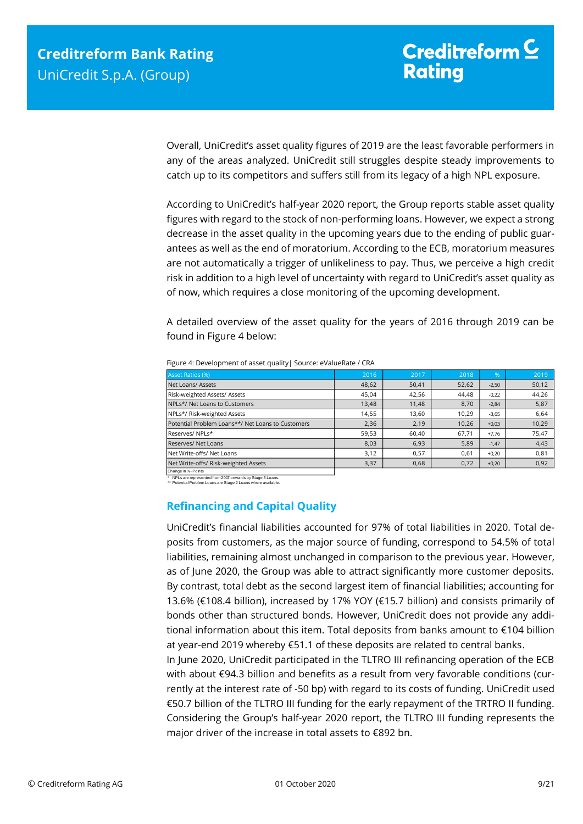Overall, UniCredit's asset quality figures of 2019 are the least favorable performers in any of the areas analyzed. UniCredit still struggles despite steady improvements to catch up to its competitors and suffers still from its legacy of a high NPL exposure.

According to UniCredit's half-year 2020 report, the Group reports stable asset quality figures with regard to the stock of non-performing loans. However, we expect a strong decrease in the asset quality in the upcoming years due to the ending of public guarantees as well as the end of moratorium. According to the ECB, moratorium measures are not automatically a trigger of unlikeliness to pay. Thus, we perceive a high credit risk in addition to a high level of uncertainty with regard to UniCredit's asset quality as of now, which requires a close monitoring of the upcoming development.

A detailed overview of the asset quality for the years of 2016 through 2019 can be found in Figure 4 below:

| <b>Asset Ratios (%)</b>                           | 2016  | 2017  | 2018  | %       | 2019  |
|---------------------------------------------------|-------|-------|-------|---------|-------|
| Net Loans/ Assets                                 | 48,62 | 50,41 | 52,62 | $-2,50$ | 50,12 |
| Risk-weighted Assets/ Assets                      | 45,04 | 42,56 | 44,48 | $-0.22$ | 44,26 |
| NPLs*/ Net Loans to Customers                     | 13,48 | 11,48 | 8,70  | $-2,84$ | 5,87  |
| NPLs*/ Risk-weighted Assets                       | 14,55 | 13.60 | 10.29 | $-3,65$ | 6,64  |
| Potential Problem Loans**/ Net Loans to Customers | 2,36  | 2,19  | 10.26 | $+0,03$ | 10,29 |
| Reserves/NPLs*                                    | 59,53 | 60,40 | 67,71 | $+7.76$ | 75,47 |
| Reserves/ Net Loans                               | 8,03  | 6,93  | 5,89  | $-1,47$ | 4,43  |
| Net Write-offs/ Net Loans                         | 3,12  | 0,57  | 0.61  | $+0.20$ | 0,81  |
| Net Write-offs/ Risk-weighted Assets              | 3,37  | 0,68  | 0,72  | $+0,20$ | 0,92  |
| Change in %- Points                               |       |       |       |         |       |

Figure 4: Development of asset quality| Source: eValueRate / CRA

<span id="page-8-0"></span>\* NPLs are represented from 2017 onwards by Stage 3 Loans. \*\* Potential Problem Loans are Stage 2 Loans where available.

## **Refinancing and Capital Quality**

UniCredit's financial liabilities accounted for 97% of total liabilities in 2020. Total deposits from customers, as the major source of funding, correspond to 54.5% of total liabilities, remaining almost unchanged in comparison to the previous year. However, as of June 2020, the Group was able to attract significantly more customer deposits. By contrast, total debt as the second largest item of financial liabilities; accounting for 13.6% (€108.4 billion), increased by 17% YOY (€15.7 billion) and consists primarily of bonds other than structured bonds. However, UniCredit does not provide any additional information about this item. Total deposits from banks amount to €104 billion at year-end 2019 whereby €51.1 of these deposits are related to central banks.

In June 2020, UniCredit participated in the TLTRO III refinancing operation of the ECB with about €94.3 billion and benefits as a result from very favorable conditions (currently at the interest rate of -50 bp) with regard to its costs of funding. UniCredit used €50.7 billion of the TLTRO III funding for the early repayment of the TRTRO II funding. Considering the Group's half-year 2020 report, the TLTRO III funding represents the major driver of the increase in total assets to €892 bn.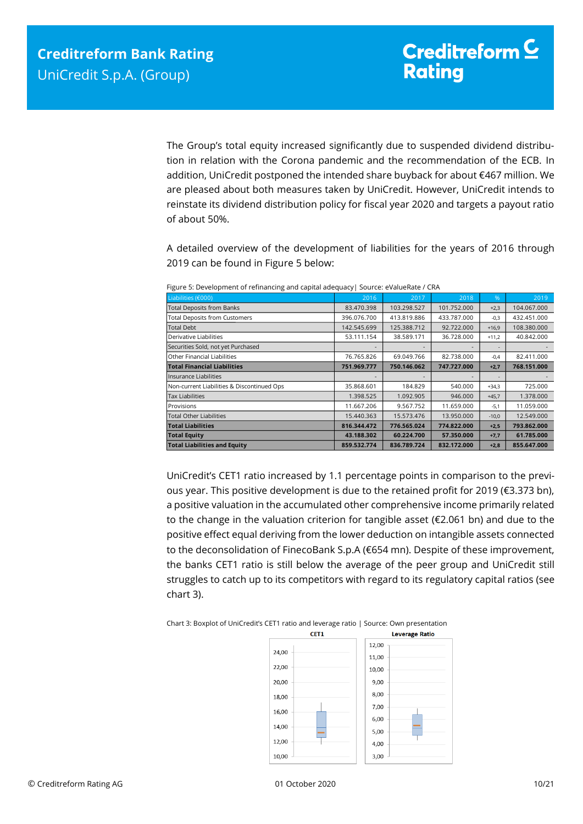The Group's total equity increased significantly due to suspended dividend distribution in relation with the Corona pandemic and the recommendation of the ECB. In addition, UniCredit postponed the intended share buyback for about €467 million. We are pleased about both measures taken by UniCredit. However, UniCredit intends to reinstate its dividend distribution policy for fiscal year 2020 and targets a payout ratio of about 50%.

A detailed overview of the development of liabilities for the years of 2016 through 2019 can be found in Figure 5 below:

| Liabilities (€000)                         | 2016        | 2017        | 2018                     | $\%$    | 2019        |
|--------------------------------------------|-------------|-------------|--------------------------|---------|-------------|
| <b>Total Deposits from Banks</b>           | 83.470.398  | 103.298.527 | 101.752.000              | $+2,3$  | 104.067.000 |
| <b>Total Deposits from Customers</b>       | 396.076.700 | 413.819.886 | 433.787.000              | $-0,3$  | 432.451.000 |
| <b>Total Debt</b>                          | 142.545.699 | 125.388.712 | 92.722.000               | $+16,9$ | 108.380.000 |
| Derivative Liabilities                     | 53.111.154  | 38.589.171  | 36.728.000               | $+11,2$ | 40.842.000  |
| Securities Sold, not yet Purchased         |             |             |                          |         |             |
| Other Financial Liabilities                | 76.765.826  | 69.049.766  | 82.738.000               | $-0.4$  | 82.411.000  |
| <b>Total Financial Liabilities</b>         | 751.969.777 | 750.146.062 | 747.727.000              | $+2,7$  | 768.151.000 |
| Insurance Liabilities                      |             |             | $\overline{\phantom{a}}$ |         |             |
| Non-current Liabilities & Discontinued Ops | 35.868.601  | 184.829     | 540.000                  | $+34,3$ | 725.000     |
| <b>Tax Liabilities</b>                     | 1.398.525   | 1.092.905   | 946.000                  | $+45,7$ | 1.378.000   |
| Provisions                                 | 11.667.206  | 9.567.752   | 11.659.000               | $-5,1$  | 11.059.000  |
| <b>Total Other Liabilities</b>             | 15.440.363  | 15.573.476  | 13.950.000               | $-10,0$ | 12.549.000  |
| <b>Total Liabilities</b>                   | 816.344.472 | 776.565.024 | 774.822.000              | $+2,5$  | 793.862.000 |
| <b>Total Equity</b>                        | 43.188.302  | 60.224.700  | 57.350.000               | $+7,7$  | 61.785.000  |
| <b>Total Liabilities and Equity</b>        | 859.532.774 | 836.789.724 | 832.172.000              | $+2,8$  | 855.647.000 |

Figure 5: Development of refinancing and capital adequacy| Source: eValueRate / CRA

UniCredit's CET1 ratio increased by 1.1 percentage points in comparison to the previous year. This positive development is due to the retained profit for 2019 (€3.373 bn), a positive valuation in the accumulated other comprehensive income primarily related to the change in the valuation criterion for tangible asset (€2.061 bn) and due to the positive effect equal deriving from the lower deduction on intangible assets connected to the deconsolidation of FinecoBank S.p.A (€654 mn). Despite of these improvement, the banks CET1 ratio is still below the average of the peer group and UniCredit still struggles to catch up to its competitors with regard to its regulatory capital ratios (see chart 3).

Chart 3: Boxplot of UniCredit's CET1 ratio and leverage ratio | Source: Own presentation

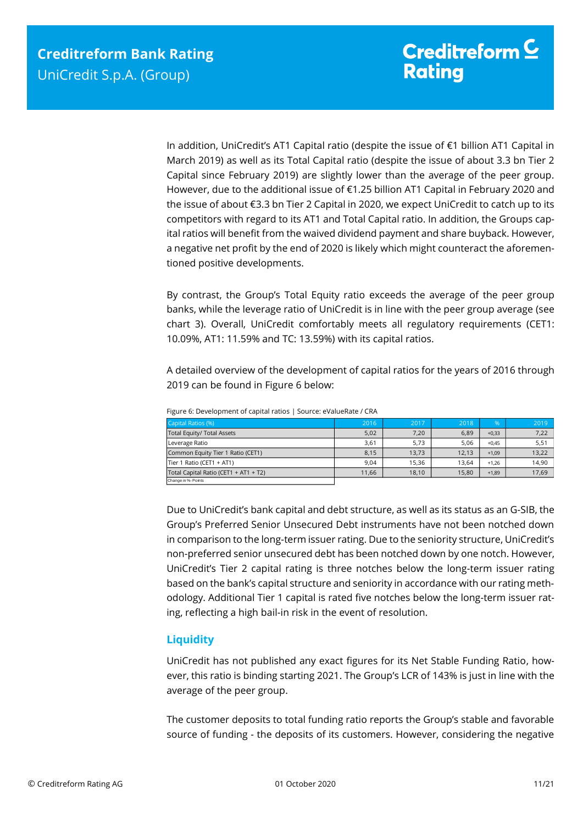In addition, UniCredit's AT1 Capital ratio (despite the issue of €1 billion AT1 Capital in March 2019) as well as its Total Capital ratio (despite the issue of about 3.3 bn Tier 2 Capital since February 2019) are slightly lower than the average of the peer group. However, due to the additional issue of €1.25 billion AT1 Capital in February 2020 and the issue of about €3.3 bn Tier 2 Capital in 2020, we expect UniCredit to catch up to its competitors with regard to its AT1 and Total Capital ratio. In addition, the Groups capital ratios will benefit from the waived dividend payment and share buyback. However, a negative net profit by the end of 2020 is likely which might counteract the aforementioned positive developments.

By contrast, the Group's Total Equity ratio exceeds the average of the peer group banks, while the leverage ratio of UniCredit is in line with the peer group average (see chart 3). Overall, UniCredit comfortably meets all regulatory requirements (CET1: 10.09%, AT1: 11.59% and TC: 13.59%) with its capital ratios.

A detailed overview of the development of capital ratios for the years of 2016 through 2019 can be found in Figure 6 below:

| Capital Ratios (%)                    | 2016  | 2017  | 2018  | $\%$    | 2019  |
|---------------------------------------|-------|-------|-------|---------|-------|
| Total Equity/ Total Assets            | 5,02  | 7,20  | 6,89  | $+0,33$ | 7,22  |
| Leverage Ratio                        | 3,61  | 5.73  | 5.06  | $+0.45$ | 5,51  |
| Common Equity Tier 1 Ratio (CET1)     | 8,15  | 13.73 | 12,13 | $+1,09$ | 13,22 |
| Tier 1 Ratio (CET1 + AT1)             | 9.04  | 15.36 | 13,64 | $+1.26$ | 14,90 |
| Total Capital Ratio (CET1 + AT1 + T2) | 11,66 | 18.10 | 15,80 | $+1,89$ | 17,69 |
| Change in %-Points                    |       |       |       |         |       |

Figure 6: Development of capital ratios | Source: eValueRate / CRA

<span id="page-10-0"></span>Due to UniCredit's bank capital and debt structure, as well as its status as an G-SIB, the Group's Preferred Senior Unsecured Debt instruments have not been notched down in comparison to the long-term issuer rating. Due to the seniority structure, UniCredit's non-preferred senior unsecured debt has been notched down by one notch. However, UniCredit's Tier 2 capital rating is three notches below the long-term issuer rating based on the bank's capital structure and seniority in accordance with our rating methodology. Additional Tier 1 capital is rated five notches below the long-term issuer rating, reflecting a high bail-in risk in the event of resolution.

## **Liquidity**

UniCredit has not published any exact figures for its Net Stable Funding Ratio, however, this ratio is binding starting 2021. The Group's LCR of 143% is just in line with the average of the peer group.

The customer deposits to total funding ratio reports the Group's stable and favorable source of funding - the deposits of its customers. However, considering the negative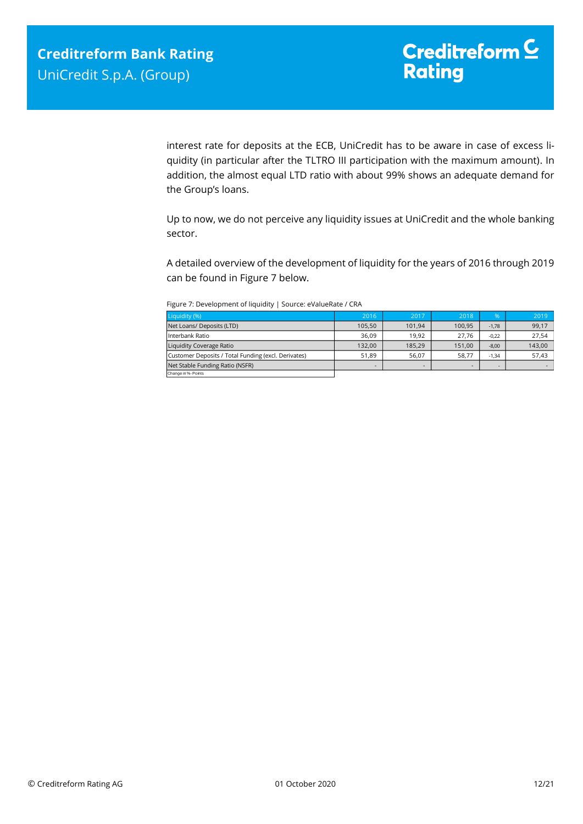interest rate for deposits at the ECB, UniCredit has to be aware in case of excess liquidity (in particular after the TLTRO III participation with the maximum amount). In addition, the almost equal LTD ratio with about 99% shows an adequate demand for the Group's loans.

Up to now, we do not perceive any liquidity issues at UniCredit and the whole banking sector.

A detailed overview of the development of liquidity for the years of 2016 through 2019 can be found in Figure 7 below.

| Liquidity (%)                                       | 2016   | 2017   | 2018   | 0/2     | 2019   |
|-----------------------------------------------------|--------|--------|--------|---------|--------|
| Net Loans/ Deposits (LTD)                           | 105.50 | 101.94 | 100.95 | $-1.78$ | 99.17  |
| Interbank Ratio                                     | 36.09  | 19.92  | 27.76  | $-0.22$ | 27,54  |
| Liquidity Coverage Ratio                            | 132.00 | 185.29 | 151.00 | $-8.00$ | 143,00 |
| Customer Deposits / Total Funding (excl. Derivates) | 51,89  | 56.07  | 58.77  | $-1.34$ | 57.43  |

Figure 7: Development of liquidity | Source: eValueRate / CRA

Net Stable Funding Ratio (NSFR)

ange in %- Poi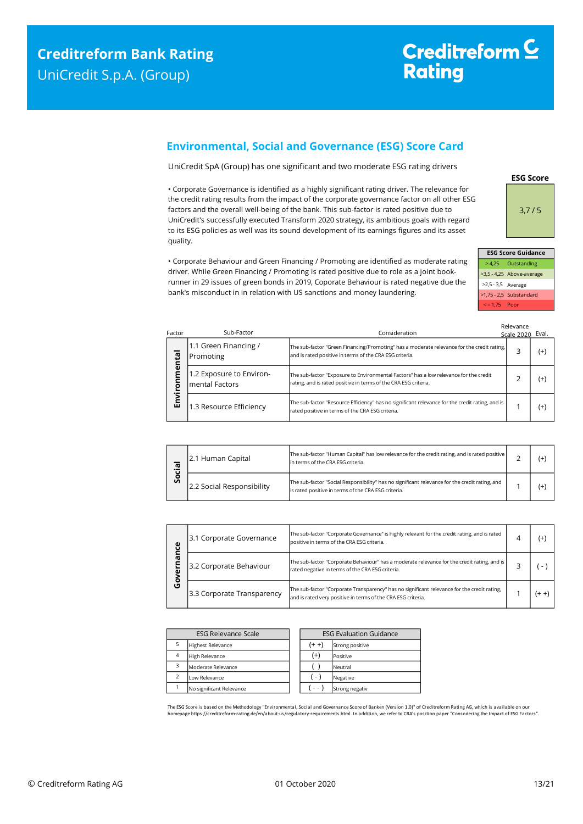# Creditreform<sup>C</sup> **Rating**

## <span id="page-12-0"></span>**Environmental, Social and Governance (ESG) Score Card**

UniCredit SpA (Group) has one significant and two moderate ESG rating drivers

• Corporate Governance is identified as a highly significant rating driver. The relevance for the credit rating results from the impact of the corporate governance factor on all other ESG factors and the overall well-being of the bank. This sub-factor is rated positive due to UniCredit's successfully executed Transform 2020 strategy, its ambitious goals with regard to its ESG policies as well was its sound development of its earnings figures and its asset quality.

• Corporate Behaviour and Green Financing / Promoting are identified as moderate rating driver. While Green Financing / Promoting is rated positive due to role as a joint bookrunner in 29 issues of green bonds in 2019, Coporate Behaviour is rated negative due the bank's misconduct in in relation with US sanctions and money laundering.

**ESG Score** 3,7 / 5

| <b>ESG Score Guidance</b> |                           |  |  |  |  |
|---------------------------|---------------------------|--|--|--|--|
|                           | > 4,25 Outstanding        |  |  |  |  |
|                           | >3,5 - 4,25 Above-average |  |  |  |  |
| >2,5 - 3,5 Average        |                           |  |  |  |  |
|                           | >1,75 - 2,5 Substandard   |  |  |  |  |
| $\le$ = 1.75 Poor         |                           |  |  |  |  |

| Factor      | Sub-Factor                                 | Consideration                                                                                                                                            | Relevance<br>Scale 2020 | Eval.    |
|-------------|--------------------------------------------|----------------------------------------------------------------------------------------------------------------------------------------------------------|-------------------------|----------|
|             | 1.1 Green Financing /<br>Promoting         | The sub-factor "Green Financing/Promoting" has a moderate relevance for the credit rating,<br>and is rated positive in terms of the CRA ESG criteria.    | 3                       | $^{(+)}$ |
| nmenta<br>ē | 1.2 Exposure to Environ-<br>mental Factors | The sub-factor "Exposure to Environmental Factors" has a low relevance for the credit<br>rating, and is rated positive in terms of the CRA ESG criteria. |                         | $^{(+)}$ |
| Envir       | 1.3 Resource Efficiency                    | The sub-factor "Resource Efficiency" has no significant relevance for the credit rating, and is<br>rated positive in terms of the CRA ESG criteria.      |                         | $^{(+)}$ |

| <u>ര</u><br>o<br>Ū | 2.1 Human Capital         | The sub-factor "Human Capital" has low relevance for the credit rating, and is rated positive<br>In terms of the CRA ESG criteria.                    |  |  |
|--------------------|---------------------------|-------------------------------------------------------------------------------------------------------------------------------------------------------|--|--|
|                    | 2.2 Social Responsibility | The sub-factor "Social Responsibility" has no significant relevance for the credit rating, and<br>is rated positive in terms of the CRA ESG criteria. |  |  |

| ω<br>൹<br>O | 3.1 Corporate Governance                                                                                                                                                   | The sub-factor "Corporate Governance" is highly relevant for the credit rating, and is rated<br>positive in terms of the CRA ESG criteria.                  |  |  |
|-------------|----------------------------------------------------------------------------------------------------------------------------------------------------------------------------|-------------------------------------------------------------------------------------------------------------------------------------------------------------|--|--|
|             | The sub-factor "Corporate Behaviour" has a moderate relevance for the credit rating, and is<br>3.2 Corporate Behaviour<br>rated negative in terms of the CRA ESG criteria. |                                                                                                                                                             |  |  |
|             | 3.3 Corporate Transparency                                                                                                                                                 | The sub-factor "Corporate Transparency" has no significant relevance for the credit rating,<br>and is rated very positive in terms of the CRA ESG criteria. |  |  |

| <b>ESG Relevance Scale</b> |                          | <b>ESG Evaluation Guidance</b> |                 |
|----------------------------|--------------------------|--------------------------------|-----------------|
|                            | <b>Highest Relevance</b> | $(+ +)$                        | Strong positive |
| $\overline{4}$             | <b>High Relevance</b>    | $^{(+)}$                       | Positive        |
| 3                          | Moderate Relevance       |                                | Neutral         |
| $\overline{\phantom{0}}$   | Low Relevance            | ( - )                          | Negative        |
|                            | No significant Relevance |                                | Strong negativ  |

The ESG Score is based on the Methodology "Environmental, Social and Governance Score of Banken (Version 1.0)" of Creditreform Rating AG, which is available on our homepage https://creditreform-rating.de/en/about-us/regulatory-requirements.html. In addition, we refer to CRA's position paper "Consodering the Impact of ESG Factors".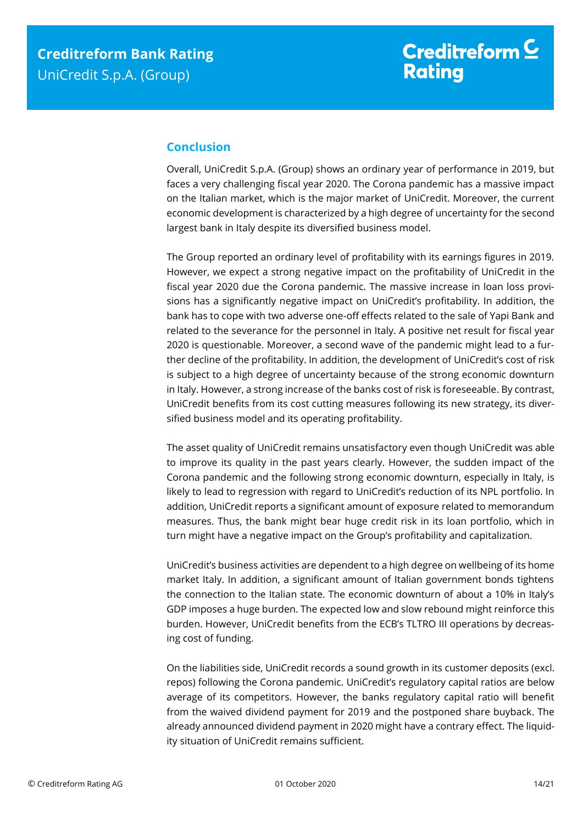# <span id="page-13-0"></span>**Conclusion**

Overall, UniCredit S.p.A. (Group) shows an ordinary year of performance in 2019, but faces a very challenging fiscal year 2020. The Corona pandemic has a massive impact on the Italian market, which is the major market of UniCredit. Moreover, the current economic development is characterized by a high degree of uncertainty for the second largest bank in Italy despite its diversified business model.

The Group reported an ordinary level of profitability with its earnings figures in 2019. However, we expect a strong negative impact on the profitability of UniCredit in the fiscal year 2020 due the Corona pandemic. The massive increase in loan loss provisions has a significantly negative impact on UniCredit's profitability. In addition, the bank has to cope with two adverse one-off effects related to the sale of Yapi Bank and related to the severance for the personnel in Italy. A positive net result for fiscal year 2020 is questionable. Moreover, a second wave of the pandemic might lead to a further decline of the profitability. In addition, the development of UniCredit's cost of risk is subject to a high degree of uncertainty because of the strong economic downturn in Italy. However, a strong increase of the banks cost of risk is foreseeable. By contrast, UniCredit benefits from its cost cutting measures following its new strategy, its diversified business model and its operating profitability.

The asset quality of UniCredit remains unsatisfactory even though UniCredit was able to improve its quality in the past years clearly. However, the sudden impact of the Corona pandemic and the following strong economic downturn, especially in Italy, is likely to lead to regression with regard to UniCredit's reduction of its NPL portfolio. In addition, UniCredit reports a significant amount of exposure related to memorandum measures. Thus, the bank might bear huge credit risk in its loan portfolio, which in turn might have a negative impact on the Group's profitability and capitalization.

UniCredit's business activities are dependent to a high degree on wellbeing of its home market Italy. In addition, a significant amount of Italian government bonds tightens the connection to the Italian state. The economic downturn of about a 10% in Italy's GDP imposes a huge burden. The expected low and slow rebound might reinforce this burden. However, UniCredit benefits from the ECB's TLTRO III operations by decreasing cost of funding.

On the liabilities side, UniCredit records a sound growth in its customer deposits (excl. repos) following the Corona pandemic. UniCredit's regulatory capital ratios are below average of its competitors. However, the banks regulatory capital ratio will benefit from the waived dividend payment for 2019 and the postponed share buyback. The already announced dividend payment in 2020 might have a contrary effect. The liquidity situation of UniCredit remains sufficient.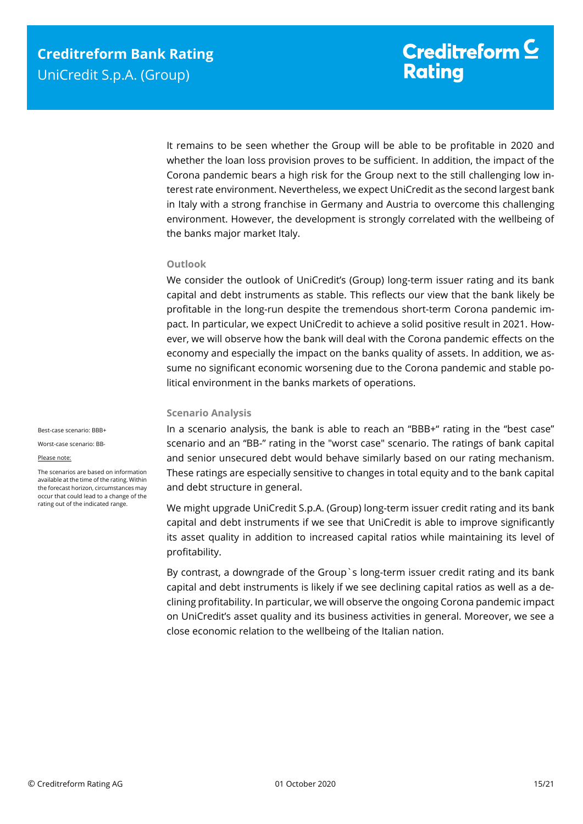It remains to be seen whether the Group will be able to be profitable in 2020 and whether the loan loss provision proves to be sufficient. In addition, the impact of the Corona pandemic bears a high risk for the Group next to the still challenging low interest rate environment. Nevertheless, we expect UniCredit as the second largest bank in Italy with a strong franchise in Germany and Austria to overcome this challenging environment. However, the development is strongly correlated with the wellbeing of the banks major market Italy.

## **Outlook**

We consider the outlook of UniCredit's (Group) long-term issuer rating and its bank capital and debt instruments as stable. This reflects our view that the bank likely be profitable in the long-run despite the tremendous short-term Corona pandemic impact. In particular, we expect UniCredit to achieve a solid positive result in 2021. However, we will observe how the bank will deal with the Corona pandemic effects on the economy and especially the impact on the banks quality of assets. In addition, we assume no significant economic worsening due to the Corona pandemic and stable political environment in the banks markets of operations.

## **Scenario Analysis**

Best-case scenario: BBB+ Worst-case scenario: BB-

#### Please note:

The scenarios are based on information available at the time of the rating. Within the forecast horizon, circumstances may occur that could lead to a change of the rating out of the indicated range.

In a scenario analysis, the bank is able to reach an "BBB+" rating in the "best case" scenario and an "BB-" rating in the "worst case" scenario. The ratings of bank capital and senior unsecured debt would behave similarly based on our rating mechanism. These ratings are especially sensitive to changes in total equity and to the bank capital and debt structure in general.

We might upgrade UniCredit S.p.A. (Group) long-term issuer credit rating and its bank capital and debt instruments if we see that UniCredit is able to improve significantly its asset quality in addition to increased capital ratios while maintaining its level of profitability.

By contrast, a downgrade of the Group`s long-term issuer credit rating and its bank capital and debt instruments is likely if we see declining capital ratios as well as a declining profitability. In particular, we will observe the ongoing Corona pandemic impact on UniCredit's asset quality and its business activities in general. Moreover, we see a close economic relation to the wellbeing of the Italian nation.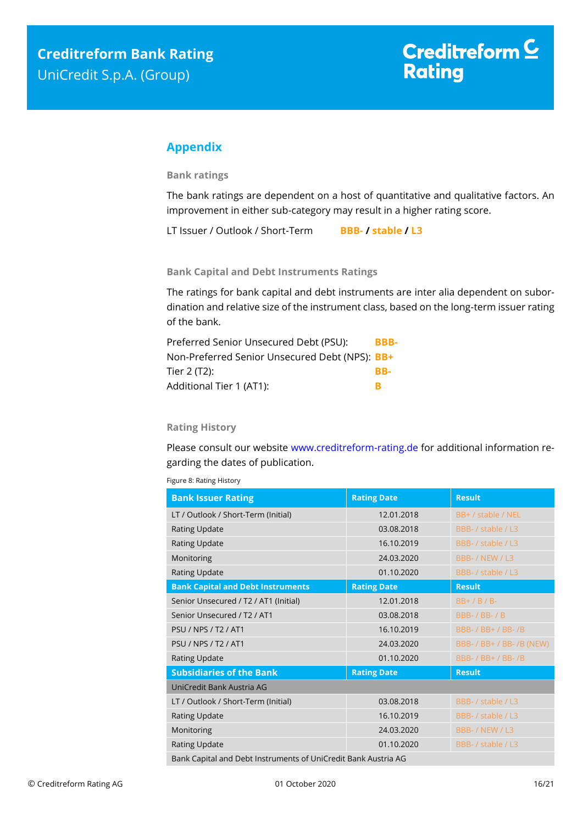# <span id="page-15-0"></span>**Appendix**

**Bank ratings**

The bank ratings are dependent on a host of quantitative and qualitative factors. An improvement in either sub-category may result in a higher rating score.

LT Issuer / Outlook / Short-Term **BBB- / stable / L3**

**Bank Capital and Debt Instruments Ratings**

The ratings for bank capital and debt instruments are inter alia dependent on subordination and relative size of the instrument class, based on the long-term issuer rating of the bank.

| Preferred Senior Unsecured Debt (PSU):         | BBB- |
|------------------------------------------------|------|
| Non-Preferred Senior Unsecured Debt (NPS): BB+ |      |
| Tier 2 (T2):                                   | RR-  |
| Additional Tier 1 (AT1):                       | R    |

## **Rating History**

Please consult our website [www.creditreform-rating.de](http://www.creditreform-rating.de/) for additional information regarding the dates of publication.

| <b>Bank Issuer Rating</b>                                      | <b>Rating Date</b> | <b>Result</b>             |  |
|----------------------------------------------------------------|--------------------|---------------------------|--|
| LT / Outlook / Short-Term (Initial)                            | 12.01.2018         | BB+ / stable / NEL        |  |
| <b>Rating Update</b>                                           | 03.08.2018         | BBB- / stable / L3        |  |
| <b>Rating Update</b>                                           | 16.10.2019         | BBB- / stable / L3        |  |
| Monitoring                                                     | 24.03.2020         | BBB- / NEW / L3           |  |
| <b>Rating Update</b>                                           | 01.10.2020         | BBB- / stable / L3        |  |
| <b>Bank Capital and Debt Instruments</b>                       | <b>Rating Date</b> | <b>Result</b>             |  |
| Senior Unsecured / T2 / AT1 (Initial)                          | 12.01.2018         | $BB+$ / B / B-            |  |
| Senior Unsecured / T2 / AT1                                    | 03.08.2018         | <b>BBB-/BB-/B</b>         |  |
| <b>PSU / NPS / T2 / AT1</b>                                    | 16.10.2019         | BBB- / BB+ / BB- /B       |  |
| <b>PSU / NPS / T2 / AT1</b>                                    | 24.03.2020         | BBB- / BB+ / BB- /B (NEW) |  |
| <b>Rating Update</b>                                           | 01.10.2020         | BBB- / BB+ / BB- /B       |  |
| <b>Subsidiaries of the Bank</b>                                | <b>Rating Date</b> | <b>Result</b>             |  |
| UniCredit Bank Austria AG                                      |                    |                           |  |
| LT / Outlook / Short-Term (Initial)                            | 03.08.2018         | BBB- / stable / L3        |  |
| <b>Rating Update</b>                                           | 16.10.2019         | BBB- / stable / L3        |  |
| Monitoring                                                     | 24.03.2020         | BBB- / NEW / L3           |  |
| Rating Update                                                  | 01.10.2020         | BBB- / stable / L3        |  |
| Bank Capital and Debt Instruments of UniCredit Bank Austria AG |                    |                           |  |

Figure 8: Rating History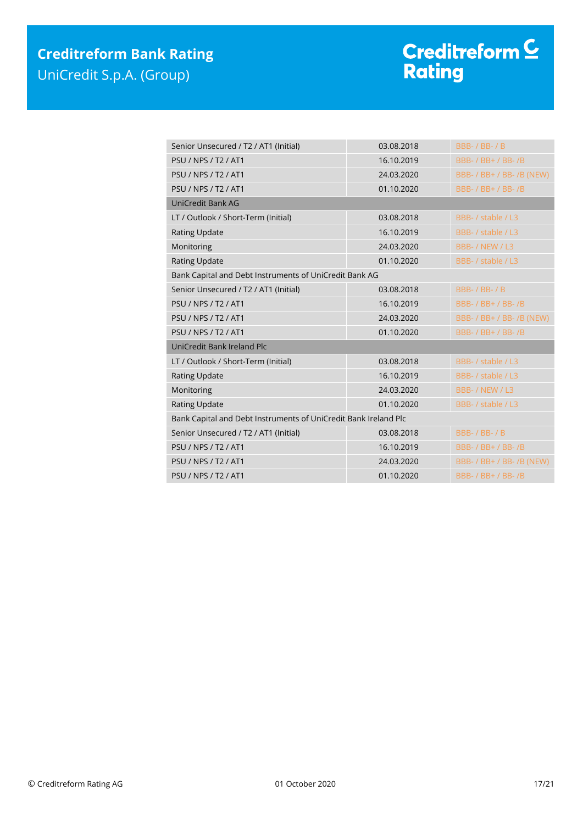# Creditreform <sup>C</sup><br>Rating

| Senior Unsecured / T2 / AT1 (Initial)                           | 03.08.2018 | <b>BBB-/BB-/B</b>         |  |
|-----------------------------------------------------------------|------------|---------------------------|--|
| <b>PSU / NPS / T2 / AT1</b>                                     | 16.10.2019 | BBB- / BB+ / BB- /B       |  |
| <b>PSU / NPS / T2 / AT1</b>                                     | 24.03.2020 | BBB- / BB+ / BB- /B (NEW) |  |
| <b>PSU / NPS / T2 / AT1</b>                                     | 01.10.2020 | BBB- / BB+ / BB- /B       |  |
| UniCredit Bank AG                                               |            |                           |  |
| LT / Outlook / Short-Term (Initial)                             | 03.08.2018 | BBB- / stable / L3        |  |
| <b>Rating Update</b>                                            | 16.10.2019 | BBB- / stable / L3        |  |
| Monitoring                                                      | 24.03.2020 | BBB- / NEW / L3           |  |
| <b>Rating Update</b>                                            | 01.10.2020 | BBB- / stable / L3        |  |
| Bank Capital and Debt Instruments of UniCredit Bank AG          |            |                           |  |
| Senior Unsecured / T2 / AT1 (Initial)                           | 03.08.2018 | <b>BBB-/BB-/B</b>         |  |
| <b>PSU / NPS / T2 / AT1</b>                                     | 16.10.2019 | BBB- / BB+ / BB- /B       |  |
| <b>PSU / NPS / T2 / AT1</b>                                     | 24.03.2020 | BBB- / BB+ / BB- /B (NEW) |  |
| <b>PSU / NPS / T2 / AT1</b>                                     | 01.10.2020 | BBB- / BB+ / BB- /B       |  |
| UniCredit Bank Ireland Plc                                      |            |                           |  |
| LT / Outlook / Short-Term (Initial)                             | 03.08.2018 | BBB- / stable / L3        |  |
| <b>Rating Update</b>                                            | 16.10.2019 | BBB- / stable / L3        |  |
| Monitoring                                                      | 24.03.2020 | BBB- / NEW / L3           |  |
| Rating Update                                                   | 01.10.2020 | BBB- / stable / L3        |  |
| Bank Capital and Debt Instruments of UniCredit Bank Ireland Plc |            |                           |  |
| Senior Unsecured / T2 / AT1 (Initial)                           | 03.08.2018 | <b>BBB-/BB-/B</b>         |  |
| <b>PSU / NPS / T2 / AT1</b>                                     | 16.10.2019 | BBB- / BB+ / BB- / B      |  |
| <b>PSU / NPS / T2 / AT1</b>                                     | 24.03.2020 | BBB- / BB+ / BB- /B (NEW) |  |
| <b>PSU / NPS / T2 / AT1</b>                                     | 01.10.2020 | BBB- / BB+ / BB- /B       |  |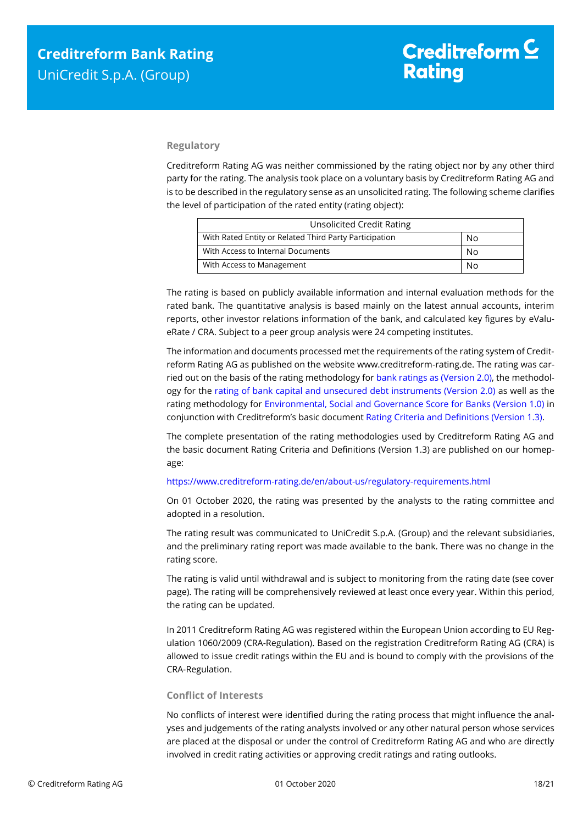## **Regulatory**

Creditreform Rating AG was neither commissioned by the rating object nor by any other third party for the rating. The analysis took place on a voluntary basis by Creditreform Rating AG and is to be described in the regulatory sense as an unsolicited rating. The following scheme clarifies the level of participation of the rated entity (rating object):

| <b>Unsolicited Credit Rating</b>                       |    |  |
|--------------------------------------------------------|----|--|
| With Rated Entity or Related Third Party Participation | No |  |
| With Access to Internal Documents                      | No |  |
| With Access to Management<br>N٥                        |    |  |

The rating is based on publicly available information and internal evaluation methods for the rated bank. The quantitative analysis is based mainly on the latest annual accounts, interim reports, other investor relations information of the bank, and calculated key figures by eValueRate / CRA. Subject to a peer group analysis were 24 competing institutes.

The information and documents processed met the requirements of the rating system of Creditreform Rating AG as published on the website www.creditreform-rating.de. The rating was carried out on the basis of the rating methodology fo[r bank ratings as \(Version 2.0\),](https://www.creditreform-rating.de/en/about-us/regulatory-requirements.html?file=files/content/downloads/Externes%20Rating/Regulatorische%20Anforderungen/EN/Ratingmethodiken%20EN/Rating%20Methodology%20Bank%20Ratings%20v2.0.pdf) the methodology for the [rating of bank capital and unsecured debt instruments \(Version 2.0\)](https://www.creditreform-rating.de/en/about-us/regulatory-requirements.html?file=files/content/downloads/Externes%20Rating/Regulatorische%20Anforderungen/EN/Ratingmethodiken%20EN/Bank%20Capital%20and%20Unsecured%20Debt%20Instruments%20Methodology.pdf) as well as the rating methodology for [Environmental, Social and Governance Score for Banks \(Version 1.0\)](https://www.creditreform-rating.de/en/about-us/regulatory-requirements.html?file=files/content/downloads/Externes%20Rating/Regulatorische%20Anforderungen/EN/Ratingmethodiken%20EN/Rating%20Methodology%20ESG%20v1.0.pdf) in conjunction with Creditreform's basic documen[t Rating Criteria and Definitions \(Version 1.3\).](https://www.creditreform-rating.de/en/about-us/regulatory-requirements.html?file=files/content/downloads/Externes%20Rating/Regulatorische%20Anforderungen/EN/Ratingmethodiken%20EN/CRAG%20Rating%20Criteria%20and%20Definitions.pdf)

The complete presentation of the rating methodologies used by Creditreform Rating AG and the basic document Rating Criteria and Definitions (Version 1.3) are published on our homepage:

#### <https://www.creditreform-rating.de/en/about-us/regulatory-requirements.html>

On 01 October 2020, the rating was presented by the analysts to the rating committee and adopted in a resolution.

The rating result was communicated to UniCredit S.p.A. (Group) and the relevant subsidiaries, and the preliminary rating report was made available to the bank. There was no change in the rating score.

The rating is valid until withdrawal and is subject to monitoring from the rating date (see cover page). The rating will be comprehensively reviewed at least once every year. Within this period, the rating can be updated.

In 2011 Creditreform Rating AG was registered within the European Union according to EU Regulation 1060/2009 (CRA-Regulation). Based on the registration Creditreform Rating AG (CRA) is allowed to issue credit ratings within the EU and is bound to comply with the provisions of the CRA-Regulation.

## **Conflict of Interests**

No conflicts of interest were identified during the rating process that might influence the analyses and judgements of the rating analysts involved or any other natural person whose services are placed at the disposal or under the control of Creditreform Rating AG and who are directly involved in credit rating activities or approving credit ratings and rating outlooks.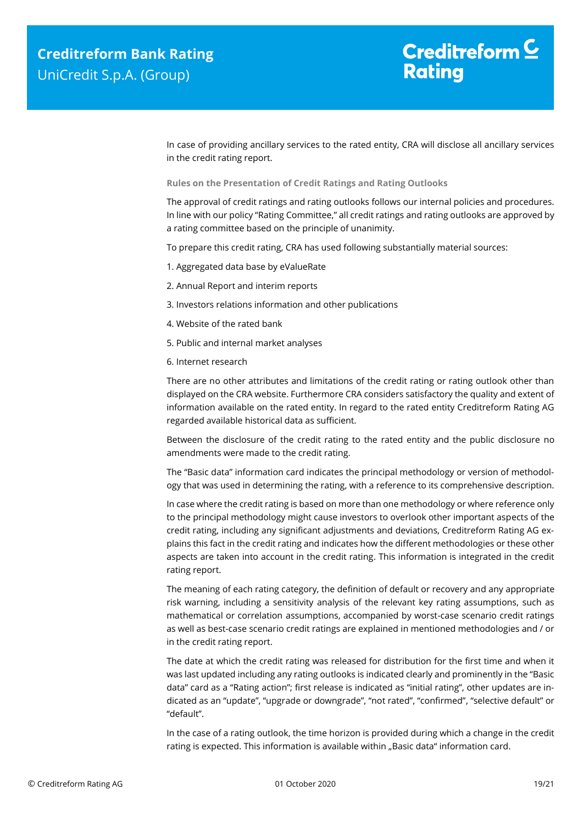In case of providing ancillary services to the rated entity, CRA will disclose all ancillary services in the credit rating report.

**Rules on the Presentation of Credit Ratings and Rating Outlooks**

The approval of credit ratings and rating outlooks follows our internal policies and procedures. In line with our policy "Rating Committee," all credit ratings and rating outlooks are approved by a rating committee based on the principle of unanimity.

To prepare this credit rating, CRA has used following substantially material sources:

- 1. Aggregated data base by eValueRate
- 2. Annual Report and interim reports
- 3. Investors relations information and other publications
- 4. Website of the rated bank
- 5. Public and internal market analyses
- 6. Internet research

There are no other attributes and limitations of the credit rating or rating outlook other than displayed on the CRA website. Furthermore CRA considers satisfactory the quality and extent of information available on the rated entity. In regard to the rated entity Creditreform Rating AG regarded available historical data as sufficient.

Between the disclosure of the credit rating to the rated entity and the public disclosure no amendments were made to the credit rating.

The "Basic data" information card indicates the principal methodology or version of methodology that was used in determining the rating, with a reference to its comprehensive description.

In case where the credit rating is based on more than one methodology or where reference only to the principal methodology might cause investors to overlook other important aspects of the credit rating, including any significant adjustments and deviations, Creditreform Rating AG explains this fact in the credit rating and indicates how the different methodologies or these other aspects are taken into account in the credit rating. This information is integrated in the credit rating report.

The meaning of each rating category, the definition of default or recovery and any appropriate risk warning, including a sensitivity analysis of the relevant key rating assumptions, such as mathematical or correlation assumptions, accompanied by worst-case scenario credit ratings as well as best-case scenario credit ratings are explained in mentioned methodologies and / or in the credit rating report.

The date at which the credit rating was released for distribution for the first time and when it was last updated including any rating outlooks is indicated clearly and prominently in the "Basic data" card as a "Rating action"; first release is indicated as "initial rating", other updates are indicated as an "update", "upgrade or downgrade", "not rated", "confirmed", "selective default" or "default".

In the case of a rating outlook, the time horizon is provided during which a change in the credit rating is expected. This information is available within "Basic data" information card.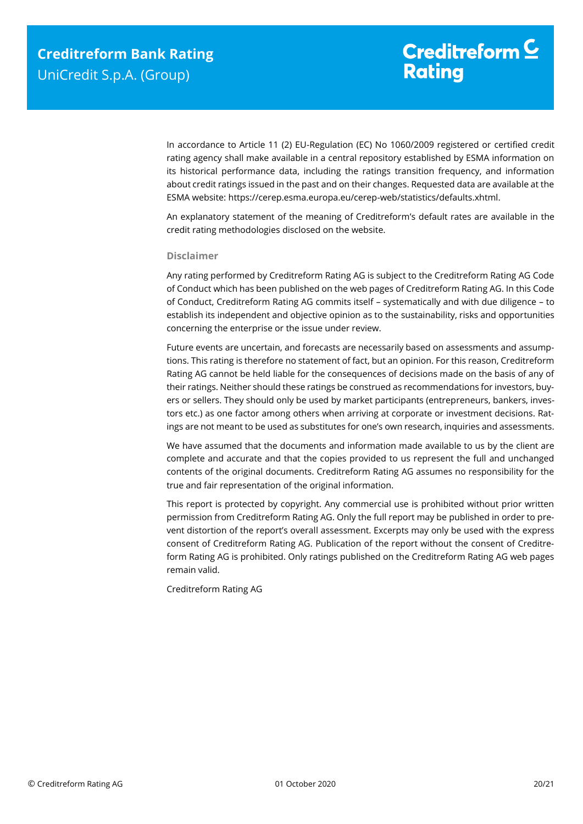In accordance to Article 11 (2) EU-Regulation (EC) No 1060/2009 registered or certified credit rating agency shall make available in a central repository established by ESMA information on its historical performance data, including the ratings transition frequency, and information about credit ratings issued in the past and on their changes. Requested data are available at the ESMA website: https://cerep.esma.europa.eu/cerep-web/statistics/defaults.xhtml.

An explanatory statement of the meaning of Creditreform's default rates are available in the credit rating methodologies disclosed on the website.

#### **Disclaimer**

Any rating performed by Creditreform Rating AG is subject to the Creditreform Rating AG Code of Conduct which has been published on the web pages of Creditreform Rating AG. In this Code of Conduct, Creditreform Rating AG commits itself – systematically and with due diligence – to establish its independent and objective opinion as to the sustainability, risks and opportunities concerning the enterprise or the issue under review.

Future events are uncertain, and forecasts are necessarily based on assessments and assumptions. This rating is therefore no statement of fact, but an opinion. For this reason, Creditreform Rating AG cannot be held liable for the consequences of decisions made on the basis of any of their ratings. Neither should these ratings be construed as recommendations for investors, buyers or sellers. They should only be used by market participants (entrepreneurs, bankers, investors etc.) as one factor among others when arriving at corporate or investment decisions. Ratings are not meant to be used as substitutes for one's own research, inquiries and assessments.

We have assumed that the documents and information made available to us by the client are complete and accurate and that the copies provided to us represent the full and unchanged contents of the original documents. Creditreform Rating AG assumes no responsibility for the true and fair representation of the original information.

This report is protected by copyright. Any commercial use is prohibited without prior written permission from Creditreform Rating AG. Only the full report may be published in order to prevent distortion of the report's overall assessment. Excerpts may only be used with the express consent of Creditreform Rating AG. Publication of the report without the consent of Creditreform Rating AG is prohibited. Only ratings published on the Creditreform Rating AG web pages remain valid.

Creditreform Rating AG